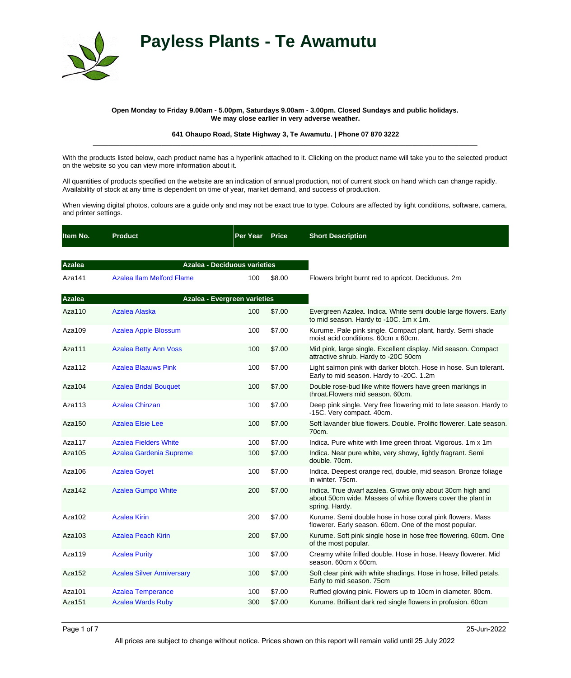

## **Payless Plants - Te Awamutu**

## **Open Monday to Friday 9.00am - 5.00pm, Saturdays 9.00am - 3.00pm. Closed Sundays and public holidays. We may close earlier in very adverse weather.**

## **641 Ohaupo Road, State Highway 3, Te Awamutu. | Phone 07 870 3222** \_\_\_\_\_\_\_\_\_\_\_\_\_\_\_\_\_\_\_\_\_\_\_\_\_\_\_\_\_\_\_\_\_\_\_\_\_\_\_\_\_\_\_\_\_\_\_\_\_\_\_\_\_\_\_\_\_\_\_\_\_\_\_\_\_\_\_\_\_\_\_\_\_\_\_\_\_\_\_\_\_\_\_\_\_\_\_\_\_\_\_\_\_\_\_\_\_\_\_\_\_

With the products listed below, each product name has a hyperlink attached to it. Clicking on the product name will take you to the selected product on the website so you can view more information about it.

All quantities of products specified on the website are an indication of annual production, not of current stock on hand which can change rapidly. Availability of stock at any time is dependent on time of year, market demand, and success of production.

When viewing digital photos, colours are a guide only and may not be exact true to type. Colours are affected by light conditions, software, camera, and printer settings.

| Item No.      | <b>Product</b>                   | Per Year                            | <b>Price</b> | <b>Short Description</b>                                                                                                                   |
|---------------|----------------------------------|-------------------------------------|--------------|--------------------------------------------------------------------------------------------------------------------------------------------|
|               |                                  |                                     |              |                                                                                                                                            |
| <b>Azalea</b> |                                  | <b>Azalea - Deciduous varieties</b> |              |                                                                                                                                            |
| Aza141        | Azalea Ilam Melford Flame        | 100                                 | \$8.00       | Flowers bright burnt red to apricot. Deciduous. 2m                                                                                         |
| <b>Azalea</b> |                                  | Azalea - Evergreen varieties        |              |                                                                                                                                            |
| Aza110        | Azalea Alaska                    | 100                                 | \$7.00       | Evergreen Azalea. Indica. White semi double large flowers. Early<br>to mid season. Hardy to -10C. 1m x 1m.                                 |
| Aza109        | <b>Azalea Apple Blossum</b>      | 100                                 | \$7.00       | Kurume. Pale pink single. Compact plant, hardy. Semi shade<br>moist acid conditions, 60cm x 60cm.                                          |
| Aza111        | <b>Azalea Betty Ann Voss</b>     | 100                                 | \$7.00       | Mid pink, large single. Excellent display. Mid season. Compact<br>attractive shrub. Hardy to -20C 50cm                                     |
| Aza112        | <b>Azalea Blaauws Pink</b>       | 100                                 | \$7.00       | Light salmon pink with darker blotch. Hose in hose. Sun tolerant.<br>Early to mid season. Hardy to -20C. 1.2m                              |
| Aza104        | <b>Azalea Bridal Bouquet</b>     | 100                                 | \$7.00       | Double rose-bud like white flowers have green markings in<br>throat. Flowers mid season, 60cm.                                             |
| Aza113        | <b>Azalea Chinzan</b>            | 100                                 | \$7.00       | Deep pink single. Very free flowering mid to late season. Hardy to<br>-15C. Very compact. 40cm.                                            |
| Aza150        | <b>Azalea Elsie Lee</b>          | 100                                 | \$7.00       | Soft lavander blue flowers. Double. Prolific flowerer. Late season.<br>70cm.                                                               |
| Aza117        | <b>Azalea Fielders White</b>     | 100                                 | \$7.00       | Indica. Pure white with lime green throat. Vigorous. 1m x 1m                                                                               |
| Aza105        | Azalea Gardenia Supreme          | 100                                 | \$7.00       | Indica. Near pure white, very showy, lightly fragrant. Semi<br>double, 70cm.                                                               |
| Aza106        | <b>Azalea Goyet</b>              | 100                                 | \$7.00       | Indica. Deepest orange red, double, mid season. Bronze foliage<br>in winter, 75cm.                                                         |
| Aza142        | <b>Azalea Gumpo White</b>        | 200                                 | \$7.00       | Indica. True dwarf azalea. Grows only about 30cm high and<br>about 50cm wide. Masses of white flowers cover the plant in<br>spring. Hardy. |
| Aza102        | <b>Azalea Kirin</b>              | 200                                 | \$7.00       | Kurume. Semi double hose in hose coral pink flowers. Mass<br>flowerer. Early season. 60cm. One of the most popular.                        |
| Aza103        | <b>Azalea Peach Kirin</b>        | 200                                 | \$7.00       | Kurume. Soft pink single hose in hose free flowering. 60cm. One<br>of the most popular.                                                    |
| Aza119        | <b>Azalea Purity</b>             | 100                                 | \$7.00       | Creamy white frilled double. Hose in hose. Heavy flowerer. Mid<br>season. 60cm x 60cm.                                                     |
| Aza152        | <b>Azalea Silver Anniversary</b> | 100                                 | \$7.00       | Soft clear pink with white shadings. Hose in hose, frilled petals.<br>Early to mid season. 75cm                                            |
| Aza101        | <b>Azalea Temperance</b>         | 100                                 | \$7.00       | Ruffled glowing pink. Flowers up to 10cm in diameter. 80cm.                                                                                |
| Aza151        | <b>Azalea Wards Ruby</b>         | 300                                 | \$7.00       | Kurume. Brilliant dark red single flowers in profusion. 60cm                                                                               |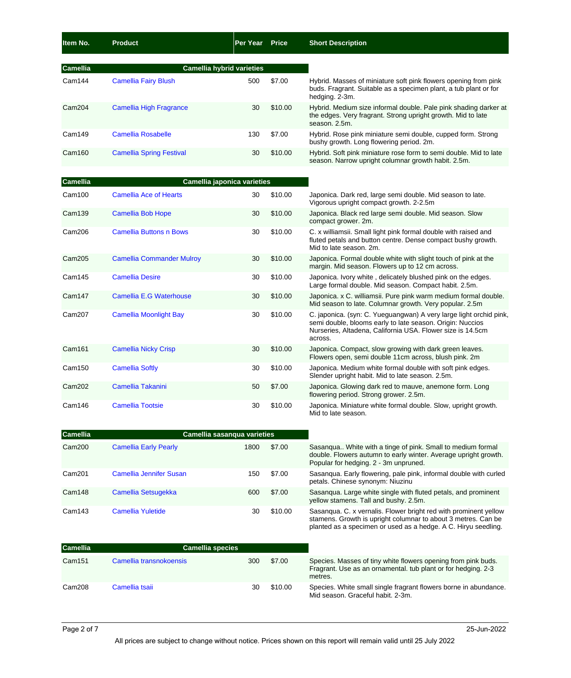| Item No.        | <b>Product</b>                  | Per Year                         | <b>Price</b> | <b>Short Description</b>                                                                                                                              |
|-----------------|---------------------------------|----------------------------------|--------------|-------------------------------------------------------------------------------------------------------------------------------------------------------|
| <b>Camellia</b> |                                 | <b>Camellia hybrid varieties</b> |              |                                                                                                                                                       |
| Cam144          | <b>Camellia Fairy Blush</b>     | 500                              | \$7.00       | Hybrid. Masses of miniature soft pink flowers opening from pink<br>buds. Fragrant. Suitable as a specimen plant, a tub plant or for<br>hedging. 2-3m. |
| Cam204          | <b>Camellia High Fragrance</b>  | 30                               | \$10.00      | Hybrid. Medium size informal double. Pale pink shading darker at<br>the edges. Very fragrant. Strong upright growth. Mid to late<br>season, 2.5m.     |
| Cam149          | <b>Camellia Rosabelle</b>       | 130                              | \$7.00       | Hybrid. Rose pink miniature semi double, cupped form. Strong<br>bushy growth. Long flowering period. 2m.                                              |
| Cam160          | <b>Camellia Spring Festival</b> | 30                               | \$10.00      | Hybrid. Soft pink miniature rose form to semi double. Mid to late<br>season. Narrow upright columnar growth habit. 2.5m.                              |

| <b>Camellia</b> |                                  | Camellia japonica varieties |         |                                                                                                                                                                                                          |
|-----------------|----------------------------------|-----------------------------|---------|----------------------------------------------------------------------------------------------------------------------------------------------------------------------------------------------------------|
| Cam100          | <b>Camellia Ace of Hearts</b>    | 30                          | \$10.00 | Japonica. Dark red, large semi double. Mid season to late.<br>Vigorous upright compact growth. 2-2.5m                                                                                                    |
| Cam139          | <b>Camellia Bob Hope</b>         | 30                          | \$10.00 | Japonica. Black red large semi double. Mid season. Slow<br>compact grower. 2m.                                                                                                                           |
| Cam206          | <b>Camellia Buttons n Bows</b>   | 30                          | \$10.00 | C. x williamsii. Small light pink formal double with raised and<br>fluted petals and button centre. Dense compact bushy growth.<br>Mid to late season, 2m.                                               |
| Cam205          | <b>Camellia Commander Mulroy</b> | 30                          | \$10.00 | Japonica. Formal double white with slight touch of pink at the<br>margin. Mid season. Flowers up to 12 cm across.                                                                                        |
| Cam145          | <b>Camellia Desire</b>           | 30                          | \$10.00 | Japonica. Ivory white, delicately blushed pink on the edges.<br>Large formal double. Mid season. Compact habit. 2.5m.                                                                                    |
| Cam147          | Camellia E.G Waterhouse          | 30                          | \$10.00 | Japonica. x C. williamsii. Pure pink warm medium formal double.<br>Mid season to late. Columnar growth. Very popular. 2.5m                                                                               |
| Cam207          | <b>Camellia Moonlight Bay</b>    | 30                          | \$10.00 | C. japonica. (syn: C. Yueguangwan) A very large light orchid pink,<br>semi double, blooms early to late season. Origin: Nuccios<br>Nurseries, Altadena, California USA. Flower size is 14.5cm<br>across. |
| Cam161          | <b>Camellia Nicky Crisp</b>      | 30                          | \$10.00 | Japonica. Compact, slow growing with dark green leaves.<br>Flowers open, semi double 11cm across, blush pink. 2m                                                                                         |
| Cam150          | <b>Camellia Softly</b>           | 30                          | \$10.00 | Japonica. Medium white formal double with soft pink edges.<br>Slender upright habit. Mid to late season. 2.5m.                                                                                           |
| Cam202          | Camellia Takanini                | 50                          | \$7.00  | Japonica. Glowing dark red to mauve, anemone form. Long<br>flowering period. Strong grower. 2.5m.                                                                                                        |
| Cam146          | <b>Camellia Tootsie</b>          | 30                          | \$10.00 | Japonica. Miniature white formal double. Slow, upright growth.<br>Mid to late season.                                                                                                                    |

| <b>Camellia</b>    |                                | Camellia sasangua varieties |         |                                                                                                                                                                                                     |
|--------------------|--------------------------------|-----------------------------|---------|-----------------------------------------------------------------------------------------------------------------------------------------------------------------------------------------------------|
| Cam200             | <b>Camellia Early Pearly</b>   | 1800                        | \$7.00  | Sasangua White with a tinge of pink. Small to medium formal<br>double. Flowers autumn to early winter. Average upright growth.<br>Popular for hedging. 2 - 3m unpruned.                             |
| Cam <sub>201</sub> | <b>Camellia Jennifer Susan</b> | 150                         | \$7.00  | Sasangua. Early flowering, pale pink, informal double with curled<br>petals. Chinese synonym: Niuzinu                                                                                               |
| Cam148             | Camellia Setsugekka            | 600                         | \$7.00  | Sasanqua. Large white single with fluted petals, and prominent<br>yellow stamens. Tall and bushy. 2.5m.                                                                                             |
| Cam <sub>143</sub> | <b>Camellia Yuletide</b>       | 30                          | \$10.00 | Sasanqua. C. x vernalis. Flower bright red with prominent yellow<br>stamens. Growth is upright columnar to about 3 metres. Can be<br>planted as a specimen or used as a hedge. A C. Hiryu seedling. |

| <b>Camellia</b> | <b>Camellia species</b> |     |         |                                                                                                                                           |
|-----------------|-------------------------|-----|---------|-------------------------------------------------------------------------------------------------------------------------------------------|
| Cam151          | Camellia transnokoensis | 300 | \$7.00  | Species. Masses of tiny white flowers opening from pink buds.<br>Fragrant. Use as an ornamental. tub plant or for hedging. 2-3<br>metres. |
| Cam208          | Camellia tsaii          | 30  | \$10.00 | Species. White small single fragrant flowers borne in abundance.<br>Mid season. Graceful habit. 2-3m.                                     |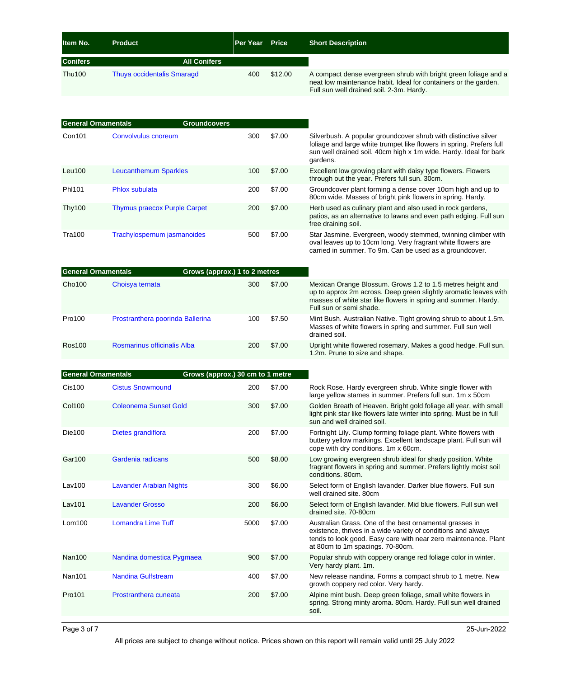| <b>Item No.</b> | <b>Product</b>                    | Per Year | <b>Price</b> | <b>Short Description</b>                                                                                                                                                       |
|-----------------|-----------------------------------|----------|--------------|--------------------------------------------------------------------------------------------------------------------------------------------------------------------------------|
| <b>Conifers</b> | <b>All Conifers</b>               |          |              |                                                                                                                                                                                |
| Thu100          | <b>Thuya occidentalis Smaragd</b> | 400      | \$12.00      | A compact dense evergreen shrub with bright green foliage and a<br>neat low maintenance habit. Ideal for containers or the garden.<br>Full sun well drained soil. 2-3m. Hardy. |

| <b>General Ornamentals</b> |                                     | <b>Groundcovers</b> |     |        |                                                                                                                                                                                                                          |
|----------------------------|-------------------------------------|---------------------|-----|--------|--------------------------------------------------------------------------------------------------------------------------------------------------------------------------------------------------------------------------|
| Con101                     | Convolvulus cnoreum                 |                     | 300 | \$7.00 | Silverbush. A popular groundcover shrub with distinctive silver<br>foliage and large white trumpet like flowers in spring. Prefers full<br>sun well drained soil. 40cm high x 1m wide. Hardy. Ideal for bark<br>gardens. |
| Leu <sub>100</sub>         | <b>Leucanthemum Sparkles</b>        |                     | 100 | \$7.00 | Excellent low growing plant with daisy type flowers. Flowers<br>through out the year. Prefers full sun. 30cm.                                                                                                            |
| PhI101                     | Phlox subulata                      |                     | 200 | \$7.00 | Groundcover plant forming a dense cover 10cm high and up to<br>80cm wide. Masses of bright pink flowers in spring. Hardy.                                                                                                |
| <b>Thy100</b>              | <b>Thymus praecox Purple Carpet</b> |                     | 200 | \$7.00 | Herb used as culinary plant and also used in rock gardens,<br>patios, as an alternative to lawns and even path edging. Full sun<br>free draining soil.                                                                   |
| Tra100                     | Trachylospernum jasmanoides         |                     | 500 | \$7.00 | Star Jasmine. Evergreen, woody stemmed, twinning climber with<br>oval leaves up to 10cm long. Very fragrant white flowers are                                                                                            |

| <b>General Ornamentals</b> |                                  | Grows (approx.) 1 to 2 metres |     |        |                                                                                                                                                                                                                             |
|----------------------------|----------------------------------|-------------------------------|-----|--------|-----------------------------------------------------------------------------------------------------------------------------------------------------------------------------------------------------------------------------|
| Cho100                     | Choisya ternata                  |                               | 300 | \$7.00 | Mexican Orange Blossum. Grows 1.2 to 1.5 metres height and<br>up to approx 2m across. Deep green slightly aromatic leaves with<br>masses of white star like flowers in spring and summer. Hardy.<br>Full sun or semi shade. |
| Pro100                     | Prostranthera poorinda Ballerina |                               | 100 | \$7.50 | Mint Bush. Australian Native. Tight growing shrub to about 1.5m.<br>Masses of white flowers in spring and summer. Full sun well<br>drained soil.                                                                            |
| Ros100                     | Rosmarinus officinalis Alba      |                               | 200 | \$7.00 | Upright white flowered rosemary. Makes a good hedge. Full sun.<br>1.2m. Prune to size and shape.                                                                                                                            |

carried in summer. To 9m. Can be used as a groundcover.

| <b>General Ornamentals</b> |                                | Grows (approx.) 30 cm to 1 metre |        |                                                                                                                                                                                                                                 |
|----------------------------|--------------------------------|----------------------------------|--------|---------------------------------------------------------------------------------------------------------------------------------------------------------------------------------------------------------------------------------|
| Cis100                     | <b>Cistus Snowmound</b>        | 200                              | \$7.00 | Rock Rose. Hardy evergreen shrub. White single flower with<br>large yellow stames in summer. Prefers full sun. 1m x 50cm                                                                                                        |
| <b>Col100</b>              | <b>Coleonema Sunset Gold</b>   | 300                              | \$7.00 | Golden Breath of Heaven. Bright gold foliage all year, with small<br>light pink star like flowers late winter into spring. Must be in full<br>sun and well drained soil.                                                        |
| <b>Die100</b>              | Dietes grandiflora             | 200                              | \$7.00 | Fortnight Lily. Clump forming foliage plant. White flowers with<br>buttery yellow markings. Excellent landscape plant. Full sun will<br>cope with dry conditions. 1m x 60cm.                                                    |
| Gar100                     | Gardenia radicans              | 500                              | \$8.00 | Low growing evergreen shrub ideal for shady position. White<br>fragrant flowers in spring and summer. Prefers lightly moist soil<br>conditions, 80cm.                                                                           |
| Lav100                     | <b>Lavander Arabian Nights</b> | 300                              | \$6.00 | Select form of English lavander. Darker blue flowers. Full sun<br>well drained site. 80cm                                                                                                                                       |
| <b>Lav101</b>              | <b>Lavander Grosso</b>         | 200                              | \$6.00 | Select form of English lavander. Mid blue flowers. Full sun well<br>drained site, 70-80cm                                                                                                                                       |
| L <sub>om100</sub>         | <b>Lomandra Lime Tuff</b>      | 5000                             | \$7.00 | Australian Grass. One of the best ornamental grasses in<br>existence, thrives in a wide variety of conditions and always<br>tends to look good. Easy care with near zero maintenance. Plant<br>at 80cm to 1m spacings. 70-80cm. |
| <b>Nan100</b>              | Nandina domestica Pygmaea      | 900                              | \$7.00 | Popular shrub with coppery orange red foliage color in winter.<br>Very hardy plant. 1m.                                                                                                                                         |
| <b>Nan101</b>              | <b>Nandina Gulfstream</b>      | 400                              | \$7.00 | New release nandina. Forms a compact shrub to 1 metre. New<br>growth coppery red color. Very hardy.                                                                                                                             |
| Pro101                     | Prostranthera cuneata          | 200                              | \$7.00 | Alpine mint bush. Deep green foliage, small white flowers in<br>spring. Strong minty aroma. 80cm. Hardy. Full sun well drained<br>soil.                                                                                         |
|                            |                                |                                  |        |                                                                                                                                                                                                                                 |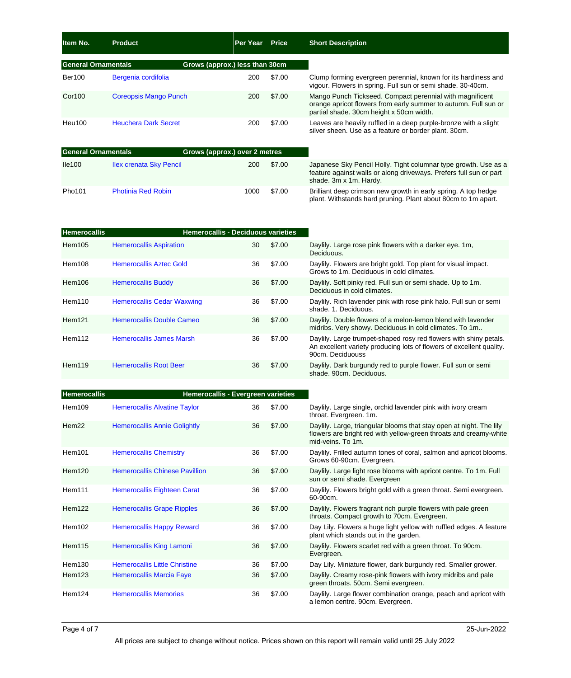| Item No.                   | <b>Product</b>               | <b>Per Year</b>                | <b>Price</b> | <b>Short Description</b>                                                                                                                                                |
|----------------------------|------------------------------|--------------------------------|--------------|-------------------------------------------------------------------------------------------------------------------------------------------------------------------------|
| <b>General Ornamentals</b> |                              | Grows (approx.) less than 30cm |              |                                                                                                                                                                         |
| <b>Ber100</b>              | Bergenia cordifolia          | 200                            | \$7.00       | Clump forming evergreen perennial, known for its hardiness and<br>vigour. Flowers in spring. Full sun or semi shade. 30-40cm.                                           |
| <b>Cor100</b>              | <b>Coreopsis Mango Punch</b> | 200                            | \$7.00       | Mango Punch Tickseed. Compact perennial with magnificent<br>orange apricot flowers from early summer to autumn. Full sun or<br>partial shade. 30cm height x 50cm width. |
| Heu100                     | <b>Heuchera Dark Secret</b>  | 200                            | \$7.00       | Leaves are heavily ruffled in a deep purple-bronze with a slight<br>silver sheen. Use as a feature or border plant. 30cm.                                               |
| <b>General Ornamentals</b> |                              | Grows (approx.) over 2 metres  |              |                                                                                                                                                                         |
| lle100                     | Ilex crenata Sky Pencil      | 200                            | \$7.00       | Japanese Sky Pencil Holly. Tight columnar type growth. Use as a<br>feature against walls or along driveways. Prefers full sun or part<br>shade. 3m x 1m. Hardy.         |
| Pho101                     | <b>Photinia Red Robin</b>    | 1000                           | \$7.00       | Brilliant deep crimson new growth in early spring. A top hedge                                                                                                          |

plant. Withstands hard pruning. Plant about 80cm to 1m apart.

| <b>Hemerocallis</b> | <b>Hemerocallis - Deciduous varieties</b> |    |        |                                                                                                                                                               |
|---------------------|-------------------------------------------|----|--------|---------------------------------------------------------------------------------------------------------------------------------------------------------------|
| Hem105              | <b>Hemerocallis Aspiration</b>            | 30 | \$7.00 | Daylily. Large rose pink flowers with a darker eye. 1m.<br>Deciduous.                                                                                         |
| Hem108              | <b>Hemerocallis Aztec Gold</b>            | 36 | \$7.00 | Daylily. Flowers are bright gold. Top plant for visual impact.<br>Grows to 1m. Deciduous in cold climates.                                                    |
| Hem106              | <b>Hemerocallis Buddy</b>                 | 36 | \$7.00 | Daylily. Soft pinky red. Full sun or semi shade. Up to 1m.<br>Deciduous in cold climates.                                                                     |
| Hem110              | <b>Hemerocallis Cedar Waxwing</b>         | 36 | \$7.00 | Daylily. Rich lavender pink with rose pink halo. Full sun or semi<br>shade, 1. Deciduous.                                                                     |
| Hem121              | Hemerocallis Double Cameo                 | 36 | \$7.00 | Daylily. Double flowers of a melon-lemon blend with lavender<br>midribs. Very showy. Deciduous in cold climates. To 1m                                        |
| Hem112              | Hemerocallis James Marsh                  | 36 | \$7.00 | Daylily. Large trumpet-shaped rosy red flowers with shiny petals.<br>An excellent variety producing lots of flowers of excellent quality.<br>90cm. Deciduouss |
| Hem119              | <b>Hemerocallis Root Beer</b>             | 36 | \$7.00 | Daylily. Dark burgundy red to purple flower. Full sun or semi<br>shade, 90cm, Deciduous.                                                                      |

| <b>Hemerocallis</b> | Hemerocallis - Evergreen varieties    |    |        |                                                                                                                                                               |
|---------------------|---------------------------------------|----|--------|---------------------------------------------------------------------------------------------------------------------------------------------------------------|
| Hem109              | <b>Hemerocallis Alvatine Taylor</b>   | 36 | \$7.00 | Daylily. Large single, orchid lavender pink with ivory cream<br>throat. Evergreen. 1m.                                                                        |
| Hem22               | <b>Hemerocallis Annie Golightly</b>   | 36 | \$7.00 | Daylily. Large, triangular blooms that stay open at night. The lily<br>flowers are bright red with yellow-green throats and creamy-white<br>mid-veins. To 1m. |
| Hem101              | <b>Hemerocallis Chemistry</b>         | 36 | \$7.00 | Daylily. Frilled autumn tones of coral, salmon and apricot blooms.<br>Grows 60-90cm. Evergreen.                                                               |
| Hem120              | <b>Hemerocallis Chinese Pavillion</b> | 36 | \$7.00 | Daylily. Large light rose blooms with apricot centre. To 1m. Full<br>sun or semi shade. Evergreen                                                             |
| Hem111              | Hemerocallis Eighteen Carat           | 36 | \$7.00 | Daylily. Flowers bright gold with a green throat. Semi evergreen.<br>60-90cm.                                                                                 |
| Hem122              | <b>Hemerocallis Grape Ripples</b>     | 36 | \$7.00 | Daylily. Flowers fragrant rich purple flowers with pale green<br>throats. Compact growth to 70cm. Evergreen.                                                  |
| Hem102              | <b>Hemerocallis Happy Reward</b>      | 36 | \$7.00 | Day Lily. Flowers a huge light yellow with ruffled edges. A feature<br>plant which stands out in the garden.                                                  |
| Hem115              | Hemerocallis King Lamoni              | 36 | \$7.00 | Daylily. Flowers scarlet red with a green throat. To 90cm.<br>Evergreen.                                                                                      |
| Hem130              | <b>Hemerocallis Little Christine</b>  | 36 | \$7.00 | Day Lily. Miniature flower, dark burgundy red. Smaller grower.                                                                                                |
| Hem123              | <b>Hemerocallis Marcia Faye</b>       | 36 | \$7.00 | Daylily. Creamy rose-pink flowers with ivory midribs and pale<br>green throats. 50cm. Semi evergreen.                                                         |
| Hem124              | <b>Hemerocallis Memories</b>          | 36 | \$7.00 | Daylily. Large flower combination orange, peach and apricot with<br>a lemon centre. 90cm. Evergreen.                                                          |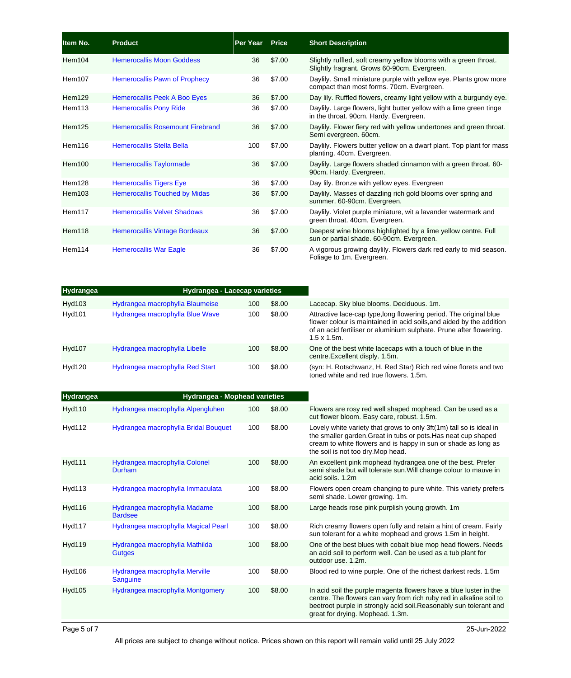| Item No.      | Product                                 | Per Year | <b>Price</b> | <b>Short Description</b>                                                                                         |
|---------------|-----------------------------------------|----------|--------------|------------------------------------------------------------------------------------------------------------------|
| Hem104        | <b>Hemerocallis Moon Goddess</b>        | 36       | \$7.00       | Slightly ruffled, soft creamy yellow blooms with a green throat.<br>Slightly fragrant. Grows 60-90cm. Evergreen. |
| Hem107        | <b>Hemerocallis Pawn of Prophecy</b>    | 36       | \$7.00       | Daylily. Small miniature purple with yellow eye. Plants grow more<br>compact than most forms. 70cm. Evergreen.   |
| Hem129        | Hemerocallis Peek A Boo Eyes            | 36       | \$7.00       | Day lily. Ruffled flowers, creamy light yellow with a burgundy eye.                                              |
| Hem113        | <b>Hemerocallis Pony Ride</b>           | 36       | \$7.00       | Daylily. Large flowers, light butter yellow with a lime green tinge<br>in the throat. 90cm. Hardy. Evergreen.    |
| <b>Hem125</b> | <b>Hemerocallis Rosemount Firebrand</b> | 36       | \$7.00       | Daylily. Flower fiery red with yellow undertones and green throat.<br>Semi evergreen. 60cm.                      |
| Hem116        | Hemerocallis Stella Bella               | 100      | \$7.00       | Daylily. Flowers butter yellow on a dwarf plant. Top plant for mass<br>planting. 40cm. Evergreen.                |
| Hem100        | <b>Hemerocallis Taylormade</b>          | 36       | \$7.00       | Daylily. Large flowers shaded cinnamon with a green throat. 60-<br>90cm. Hardy. Evergreen.                       |
| Hem128        | <b>Hemerocallis Tigers Eye</b>          | 36       | \$7.00       | Day lily. Bronze with yellow eyes. Evergreen                                                                     |
| Hem103        | <b>Hemerocallis Touched by Midas</b>    | 36       | \$7.00       | Daylily. Masses of dazzling rich gold blooms over spring and<br>summer. 60-90cm. Evergreen.                      |
| Hem117        | <b>Hemerocallis Velvet Shadows</b>      | 36       | \$7.00       | Daylily. Violet purple miniature, wit a lavander watermark and<br>green throat. 40cm. Evergreen.                 |
| Hem118        | <b>Hemerocallis Vintage Bordeaux</b>    | 36       | \$7.00       | Deepest wine blooms highlighted by a lime yellow centre. Full<br>sun or partial shade. 60-90cm. Evergreen.       |
| Hem114        | <b>Hemerocallis War Eagle</b>           | 36       | \$7.00       | A vigorous growing daylily. Flowers dark red early to mid season.<br>Foliage to 1m. Evergreen.                   |

| <b>Hydrangea</b> | <b>Hydrangea - Lacecap varieties</b> |     |        |                                                                                                                                                                                                                                          |
|------------------|--------------------------------------|-----|--------|------------------------------------------------------------------------------------------------------------------------------------------------------------------------------------------------------------------------------------------|
| Hyd103           | Hydrangea macrophylla Blaumeise      | 100 | \$8.00 | Lacecap. Sky blue blooms. Deciduous. 1m.                                                                                                                                                                                                 |
| <b>Hyd101</b>    | Hydrangea macrophylla Blue Wave      | 100 | \$8.00 | Attractive lace-cap type, long flowering period. The original blue<br>flower colour is maintained in acid soils, and aided by the addition<br>of an acid fertiliser or aluminium sulphate. Prune after flowering.<br>$1.5 \times 1.5$ m. |
| <b>Hyd107</b>    | Hydrangea macrophylla Libelle        | 100 | \$8.00 | One of the best white lacecaps with a touch of blue in the<br>centre.Excellent disply. 1.5m.                                                                                                                                             |
| <b>Hyd120</b>    | Hydrangea macrophylla Red Start      | 100 | \$8.00 | (syn: H. Rotschwanz, H. Red Star) Rich red wine florets and two<br>toned white and red true flowers, 1.5m.                                                                                                                               |

| <b>Hydrangea</b> | <b>Hydrangea - Mophead varieties</b>            |     |        |                                                                                                                                                                                                                                                    |
|------------------|-------------------------------------------------|-----|--------|----------------------------------------------------------------------------------------------------------------------------------------------------------------------------------------------------------------------------------------------------|
| <b>Hyd110</b>    | Hydrangea macrophylla Alpengluhen               | 100 | \$8.00 | Flowers are rosy red well shaped mophead. Can be used as a<br>cut flower bloom. Easy care, robust. 1.5m.                                                                                                                                           |
| Hyd112           | Hydrangea macrophylla Bridal Bouquet            | 100 | \$8.00 | Lovely white variety that grows to only 3ft(1m) tall so is ideal in<br>the smaller garden. Great in tubs or pots. Has neat cup shaped<br>cream to white flowers and is happy in sun or shade as long as<br>the soil is not too dry. Mop head.      |
| <b>Hyd111</b>    | Hydrangea macrophylla Colonel<br>Durham         | 100 | \$8.00 | An excellent pink mophead hydrangea one of the best. Prefer<br>semi shade but will tolerate sun. Will change colour to mauve in<br>acid soils, 1.2m                                                                                                |
| Hyd113           | Hydrangea macrophylla Immaculata                | 100 | \$8.00 | Flowers open cream changing to pure white. This variety prefers<br>semi shade. Lower growing. 1m.                                                                                                                                                  |
| <b>Hyd116</b>    | Hydrangea macrophylla Madame<br><b>Bardsee</b>  | 100 | \$8.00 | Large heads rose pink purplish young growth. 1m                                                                                                                                                                                                    |
| Hyd117           | Hydrangea macrophylla Magical Pearl             | 100 | \$8.00 | Rich creamy flowers open fully and retain a hint of cream. Fairly<br>sun tolerant for a white mophead and grows 1.5m in height.                                                                                                                    |
| <b>Hyd119</b>    | Hydrangea macrophylla Mathilda<br><b>Gutges</b> | 100 | \$8.00 | One of the best blues with cobalt blue mop head flowers. Needs<br>an acid soil to perform well. Can be used as a tub plant for<br>outdoor use, 1.2m.                                                                                               |
| Hyd106           | Hydrangea macrophylla Merville<br>Sanguine      | 100 | \$8.00 | Blood red to wine purple. One of the richest darkest reds. 1.5m                                                                                                                                                                                    |
| <b>Hyd105</b>    | Hydrangea macrophylla Montgomery                | 100 | \$8.00 | In acid soil the purple magenta flowers have a blue luster in the<br>centre. The flowers can vary from rich ruby red in alkaline soil to<br>beetroot purple in strongly acid soil. Reasonably sun tolerant and<br>great for drying. Mophead. 1.3m. |

All prices are subject to change without notice. Prices shown on this report will remain valid until 25 July 2022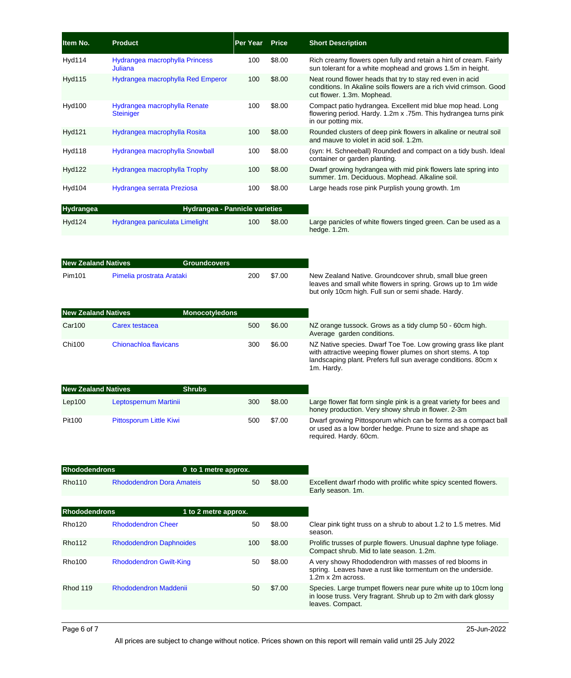| Item No.                   | <b>Product</b>                                   | <b>Per Year</b> | <b>Price</b> | <b>Short Description</b>                                                                                                                                                                                      |
|----------------------------|--------------------------------------------------|-----------------|--------------|---------------------------------------------------------------------------------------------------------------------------------------------------------------------------------------------------------------|
| Hyd114                     | Hydrangea macrophylla Princess<br>Juliana        | 100             | \$8.00       | Rich creamy flowers open fully and retain a hint of cream. Fairly<br>sun tolerant for a white mophead and grows 1.5m in height.                                                                               |
| <b>Hyd115</b>              | Hydrangea macrophylla Red Emperor                | 100             | \$8.00       | Neat round flower heads that try to stay red even in acid<br>conditions. In Akaline soils flowers are a rich vivid crimson. Good<br>cut flower. 1.3m. Mophead.                                                |
| <b>Hyd100</b>              | Hydrangea macrophylla Renate<br><b>Steiniger</b> | 100             | \$8.00       | Compact patio hydrangea. Excellent mid blue mop head. Long<br>flowering period. Hardy. 1.2m x .75m. This hydrangea turns pink<br>in our potting mix.                                                          |
| Hyd121                     | Hydrangea macrophylla Rosita                     | 100             | \$8.00       | Rounded clusters of deep pink flowers in alkaline or neutral soil<br>and mauve to violet in acid soil. 1.2m.                                                                                                  |
| <b>Hyd118</b>              | Hydrangea macrophylla Snowball                   | 100             | \$8.00       | (syn: H. Schneeball) Rounded and compact on a tidy bush. Ideal<br>container or garden planting.                                                                                                               |
| <b>Hyd122</b>              | Hydrangea macrophylla Trophy                     | 100             | \$8.00       | Dwarf growing hydrangea with mid pink flowers late spring into<br>summer. 1m. Deciduous. Mophead. Alkaline soil.                                                                                              |
| Hyd104                     | Hydrangea serrata Preziosa                       | 100             | \$8.00       | Large heads rose pink Purplish young growth. 1m                                                                                                                                                               |
| Hydrangea                  | Hydrangea - Pannicle varieties                   |                 |              |                                                                                                                                                                                                               |
| <b>Hyd124</b>              | Hydrangea paniculata Limelight                   | 100             | \$8.00       | Large panicles of white flowers tinged green. Can be used as a<br>hedge. 1.2m.                                                                                                                                |
|                            |                                                  |                 |              |                                                                                                                                                                                                               |
| <b>New Zealand Natives</b> | <b>Groundcovers</b>                              |                 |              |                                                                                                                                                                                                               |
| Pim101                     | Pimelia prostrata Arataki                        | 200             | \$7.00       | New Zealand Native. Groundcover shrub, small blue green<br>leaves and small white flowers in spring. Grows up to 1m wide<br>but only 10cm high. Full sun or semi shade. Hardy.                                |
| <b>New Zealand Natives</b> | <b>Monocotyledons</b>                            |                 |              |                                                                                                                                                                                                               |
| Car100                     | Carex testacea                                   | 500             | \$6.00       | NZ orange tussock. Grows as a tidy clump 50 - 60cm high.<br>Average garden conditions.                                                                                                                        |
| <b>Chi100</b>              | Chionachloa flavicans                            | 300             | \$6.00       | NZ Native species. Dwarf Toe Toe. Low growing grass like plant<br>with attractive weeping flower plumes on short stems. A top<br>landscaping plant. Prefers full sun average conditions. 80cm x<br>1m. Hardy. |
| <b>New Zealand Natives</b> | <b>Shrubs</b>                                    |                 |              |                                                                                                                                                                                                               |
| Lep100                     | Leptospernum Martinii                            | 300             | \$8.00       | Large flower flat form single pink is a great variety for bees and<br>honey production. Very showy shrub in flower. 2-3m                                                                                      |
| Pit100                     | Pittosporum Little Kiwi                          | 500             | \$7.00       | Dwarf growing Pittosporum which can be forms as a compact ball<br>or used as a low border hedge. Prune to size and shape as<br>required. Hardy. 60cm.                                                         |
| <b>Rhododendrons</b>       | 0 to 1 metre approx.                             |                 |              |                                                                                                                                                                                                               |
| Rho110                     | <b>Rhododendron Dora Amateis</b>                 | 50              | \$8.00       | Excellent dwarf rhodo with prolific white spicy scented flowers.<br>Early season. 1m.                                                                                                                         |
| <b>Rhododendrons</b>       | 1 to 2 metre approx.                             |                 |              |                                                                                                                                                                                                               |
| Rho120                     | <b>Rhododendron Cheer</b>                        | 50              | \$8.00       | Clear pink tight truss on a shrub to about 1.2 to 1.5 metres. Mid<br>season.                                                                                                                                  |
| Rho112                     | <b>Rhododendron Daphnoides</b>                   | 100             | \$8.00       | Prolific trusses of purple flowers. Unusual daphne type foliage.<br>Compact shrub. Mid to late season. 1.2m.                                                                                                  |
| Rho100                     | <b>Rhododendron Gwilt-King</b>                   | 50              | \$8.00       | A very showy Rhododendron with masses of red blooms in<br>spring. Leaves have a rust like tormentum on the underside.<br>1.2m x 2m across.                                                                    |
| Rhod 119                   | <b>Rhododendron Maddenii</b>                     | 50              | \$7.00       | Species. Large trumpet flowers near pure white up to 10cm long<br>in loose truss. Very fragrant. Shrub up to 2m with dark glossy<br>leaves. Compact.                                                          |
|                            |                                                  |                 |              |                                                                                                                                                                                                               |

All prices are subject to change without notice. Prices shown on this report will remain valid until 25 July 2022

Page 6 of 7 25-Jun-2022